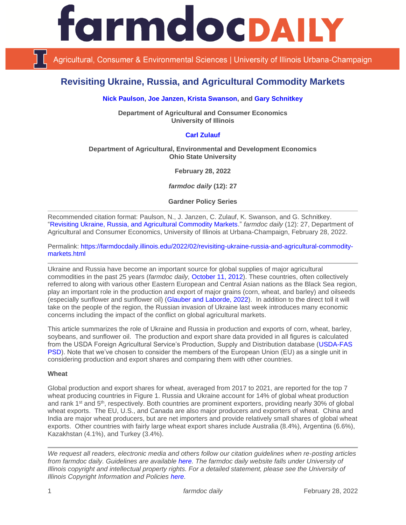

Agricultural, Consumer & Environmental Sciences | University of Illinois Urbana-Champaign

# **Revisiting Ukraine, Russia, and Agricultural Commodity Markets**

## **[Nick Paulson,](https://ace.illinois.edu/directory/npaulson) [Joe Janzen,](https://ace.illinois.edu/directory/jjanzen) [Krista Swanson,](https://ace.illinois.edu/directory/krista) and [Gary Schnitkey](https://ace.illinois.edu/directory/schnitke)**

**Department of Agricultural and Consumer Economics University of Illinois**

# **[Carl Zulauf](http://aede.osu.edu/our-people/carl-zulauf)**

#### **Department of Agricultural, Environmental and Development Economics Ohio State University**

**February 28, 2022**

*farmdoc daily* **(12): 27**

**Gardner Policy Series**

Recommended citation format: Paulson, N., J. Janzen, C. Zulauf, K. Swanson, and G. Schnitkey. ["Revisiting Ukraine, Russia, and Agricultural Commodity Markets.](https://farmdocdaily.illinois.edu/2022/02/revisiting-ukraine-russia-and-agricultural-commodity-markets.html)" *farmdoc daily* (12): 27, Department of Agricultural and Consumer Economics, University of Illinois at Urbana-Champaign, February 28, 2022.

Permalink: [https://farmdocdaily.illinois.edu/2022/02/revisiting-ukraine-russia-and-agricultural-commodity](https://farmdocdaily.illinois.edu/2022/02/revisiting-ukraine-russia-and-agricultural-commodity-markets.html)[markets.html](https://farmdocdaily.illinois.edu/2022/02/revisiting-ukraine-russia-and-agricultural-commodity-markets.html)

Ukraine and Russia have become an important source for global supplies of major agricultural commodities in the past 25 years (*farmdoc daily,* [October 11, 2012\)](https://farmdocdaily.illinois.edu/2012/10/kazakhstan-russia-ukraine.html). These countries, often collectively referred to along with various other Eastern European and Central Asian nations as the Black Sea region, play an important role in the production and export of major grains (corn, wheat, and barley) and oilseeds (especially sunflower and sunflower oil) (Glauber and [Laborde, 2022\)](https://www.ifpri.org/blog/how-will-russias-invasion-ukraine-affect-global-food-security). In addition to the direct toll it will take on the people of the region, the Russian invasion of Ukraine last week introduces many economic concerns including the impact of the conflict on global agricultural markets.

This article summarizes the role of Ukraine and Russia in production and exports of corn, wheat, barley, soybeans, and sunflower oil. The production and export share data provided in all figures is calculated from the USDA Foreign Agricultural Service's Production, Supply and Distribution database [\(USDA-FAS](https://apps.fas.usda.gov/psdonline/app/index.html#/app/home)  [PSD\)](https://apps.fas.usda.gov/psdonline/app/index.html#/app/home). Note that we've chosen to consider the members of the European Union (EU) as a single unit in considering production and export shares and comparing them with other countries.

#### **Wheat**

Global production and export shares for wheat, averaged from 2017 to 2021, are reported for the top 7 wheat producing countries in Figure 1. Russia and Ukraine account for 14% of global wheat production and rank 1st and 5th, respectively. Both countries are prominent exporters, providing nearly 30% of global wheat exports. The EU, U.S., and Canada are also major producers and exporters of wheat. China and India are major wheat producers, but are net importers and provide relatively small shares of global wheat exports. Other countries with fairly large wheat export shares include Australia (8.4%), Argentina (6.6%), Kazakhstan (4.1%), and Turkey (3.4%).

*We request all readers, electronic media and others follow our citation guidelines when re-posting articles from farmdoc daily. Guidelines are available [here.](http://farmdocdaily.illinois.edu/citationguide.html) The farmdoc daily website falls under University of Illinois copyright and intellectual property rights. For a detailed statement, please see the University of Illinois Copyright Information and Policies [here.](http://www.cio.illinois.edu/policies/copyright/)*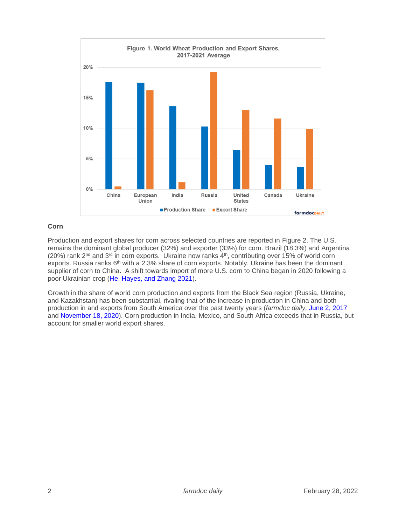

## **Corn**

Production and export shares for corn across selected countries are reported in Figure 2. The U.S. remains the dominant global producer (32%) and exporter (33%) for corn. Brazil (18.3%) and Argentina (20%) rank 2nd and 3rd in corn exports. Ukraine now ranks 4th, contributing over 15% of world corn exports. Russia ranks 6<sup>th</sup> with a 2.3% share of corn exports. Notably, Ukraine has been the dominant supplier of corn to China. A shift towards import of more U.S. corn to China began in 2020 following a poor Ukrainian crop [\(He, Hayes, and Zhang](https://www.card.iastate.edu/products/publications/pdf/20pb29.pdf) 2021).

Growth in the share of world corn production and exports from the Black Sea region (Russia, Ukraine, and Kazakhstan) has been substantial, rivaling that of the increase in production in China and both production in and exports from South America over the past twenty years (*farmdoc daily,* [June 2, 2017](https://farmdocdaily.illinois.edu/2017/06/spanning-the-globe-corn-soybean-wheat-product.html) and [November 18, 2020\)](https://farmdocdaily.illinois.edu/2020/11/the-changing-distribution-of-world-corn-production-in-the-21st-century.html). Corn production in India, Mexico, and South Africa exceeds that in Russia, but account for smaller world export shares.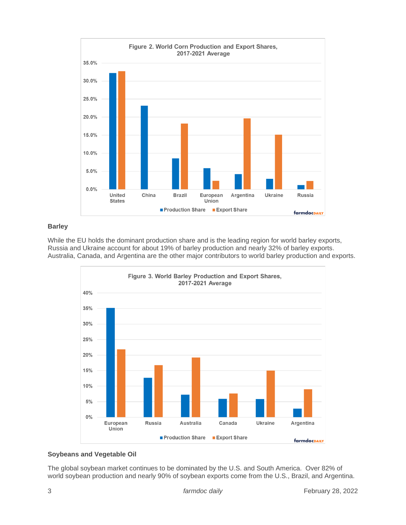

## **Barley**

While the EU holds the dominant production share and is the leading region for world barley exports, Russia and Ukraine account for about 19% of barley production and nearly 32% of barley exports. Australia, Canada, and Argentina are the other major contributors to world barley production and exports.



# **Soybeans and Vegetable Oil**

The global soybean market continues to be dominated by the U.S. and South America. Over 82% of world soybean production and nearly 90% of soybean exports come from the U.S., Brazil, and Argentina.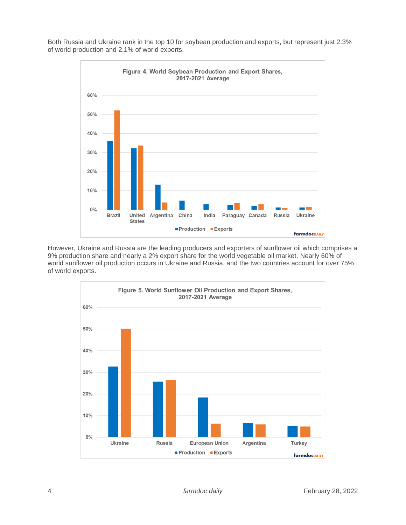Both Russia and Ukraine rank in the top 10 for soybean production and exports, but represent just 2.3% of world production and 2.1% of world exports.



However, Ukraine and Russia are the leading producers and exporters of sunflower oil which comprises a 9% production share and nearly a 2% export share for the world vegetable oil market. Nearly 60% of world sunflower oil production occurs in Ukraine and Russia, and the two countries account for over 75% of world exports.